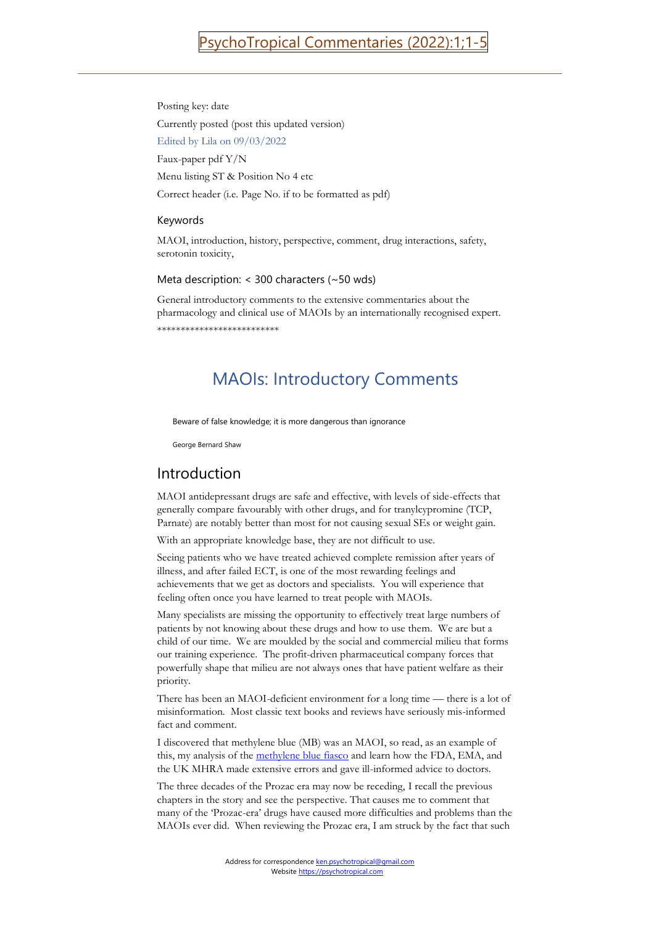Posting key: date Currently posted (post this updated version) Edited by Lila on 09/03/2022 Faux-paper pdf Y/N Menu listing ST & Position No 4 etc Correct header (i.e. Page No. if to be formatted as pdf)

# Keywords

MAOI, introduction, history, perspective, comment, drug interactions, safety, serotonin toxicity,

### Meta description: < 300 characters (~50 wds)

General introductory comments to the extensive commentaries about the pharmacology and clinical use of MAOIs by an internationally recognised expert. \*\*\*\*\*\*\*\*\*\*\*\*\*\*\*\*\*\*\*\*\*\*\*\*\*\*

# MAOIs: Introductory Comments

Beware of false knowledge; it is more dangerous than ignorance

George Bernard Shaw

# Introduction

MAOI antidepressant drugs are safe and effective, with levels of side-effects that generally compare favourably with other drugs, and for tranylcypromine (TCP, Parnate) are notably better than most for not causing sexual SEs or weight gain.

With an appropriate knowledge base, they are not difficult to use.

Seeing patients who we have treated achieved complete remission after years of illness, and after failed ECT, is one of the most rewarding feelings and achievements that we get as doctors and specialists. You will experience that feeling often once you have learned to treat people with MAOIs.

Many specialists are missing the opportunity to effectively treat large numbers of patients by not knowing about these drugs and how to use them. We are but a child of our time. We are moulded by the social and commercial milieu that forms our training experience. The profit-driven pharmaceutical company forces that powerfully shape that milieu are not always ones that have patient welfare as their priority.

There has been an MAOI-deficient environment for a long time — there is a lot of misinformation. Most classic text books and reviews have seriously mis-informed fact and comment.

I discovered that methylene blue (MB) was an MAOI, so read, as an example of this, my analysis of the [methylene blue fiasco](https://psychotropical.com/methylene-blue-serotonin-toxicity-syndrome/) and learn how the FDA, EMA, and the UK MHRA made extensive errors and gave ill-informed advice to doctors.

The three decades of the Prozac era may now be receding, I recall the previous chapters in the story and see the perspective. That causes me to comment that many of the 'Prozac-era' drugs have caused more difficulties and problems than the MAOIs ever did. When reviewing the Prozac era, I am struck by the fact that such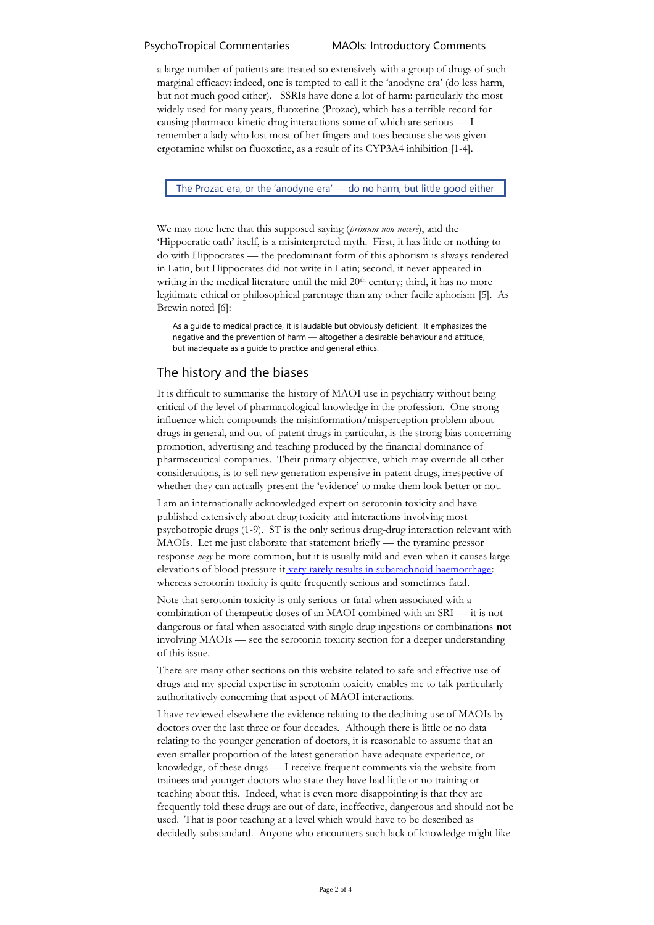a large number of patients are treated so extensively with a group of drugs of such marginal efficacy: indeed, one is tempted to call it the 'anodyne era' (do less harm, but not much good either). SSRIs have done a lot of harm: particularly the most widely used for many years, fluoxetine (Prozac), which has a terrible record for causing pharmaco-kinetic drug interactions some of which are serious — I remember a lady who lost most of her fingers and toes because she was given ergotamine whilst on fluoxetine, as a result of its CYP3A4 inhibition [1-4].

The Prozac era, or the 'anodyne era' — do no harm, but little good either

We may note here that this supposed saying (*primum non nocere*), and the 'Hippocratic oath' itself, is a misinterpreted myth. First, it has little or nothing to do with Hippocrates — the predominant form of this aphorism is always rendered in Latin, but Hippocrates did not write in Latin; second, it never appeared in writing in the medical literature until the mid 20<sup>th</sup> century; third, it has no more legitimate ethical or philosophical parentage than any other facile aphorism [5]. As Brewin noted [6]:

As a guide to medical practice, it is laudable but obviously deficient. It emphasizes the negative and the prevention of harm — altogether a desirable behaviour and attitude, but inadequate as a guide to practice and general ethics.

# The history and the biases

It is difficult to summarise the history of MAOI use in psychiatry without being critical of the level of pharmacological knowledge in the profession. One strong influence which compounds the misinformation/misperception problem about drugs in general, and out-of-patent drugs in particular, is the strong bias concerning promotion, advertising and teaching produced by the financial dominance of pharmaceutical companies. Their primary objective, which may override all other considerations, is to sell new generation expensive in-patent drugs, irrespective of whether they can actually present the 'evidence' to make them look better or not.

I am an internationally acknowledged expert on serotonin toxicity and have published extensively about drug toxicity and interactions involving most psychotropic drugs (1-9). ST is the only serious drug-drug interaction relevant with MAOIs. Let me just elaborate that statement briefly — the tyramine pressor response *may* be more common, but it is usually mild and even when it causes large elevations of blood pressure it [very rarely results in subarachnoid haemorrhage:](https://psychotropical.com/risk_of_harm_from_acute_tyr_hypertension/) whereas serotonin toxicity is quite frequently serious and sometimes fatal.

Note that serotonin toxicity is only serious or fatal when associated with a combination of therapeutic doses of an MAOI combined with an SRI — it is not dangerous or fatal when associated with single drug ingestions or combinations **not** involving MAOIs — see the serotonin toxicity section for a deeper understanding of this issue.

There are many other sections on this website related to safe and effective use of drugs and my special expertise in serotonin toxicity enables me to talk particularly authoritatively concerning that aspect of MAOI interactions.

I have reviewed elsewhere the evidence relating to the declining use of MAOIs by doctors over the last three or four decades. Although there is little or no data relating to the younger generation of doctors, it is reasonable to assume that an even smaller proportion of the latest generation have adequate experience, or knowledge, of these drugs — I receive frequent comments via the website from trainees and younger doctors who state they have had little or no training or teaching about this. Indeed, what is even more disappointing is that they are frequently told these drugs are out of date, ineffective, dangerous and should not be used. That is poor teaching at a level which would have to be described as decidedly substandard. Anyone who encounters such lack of knowledge might like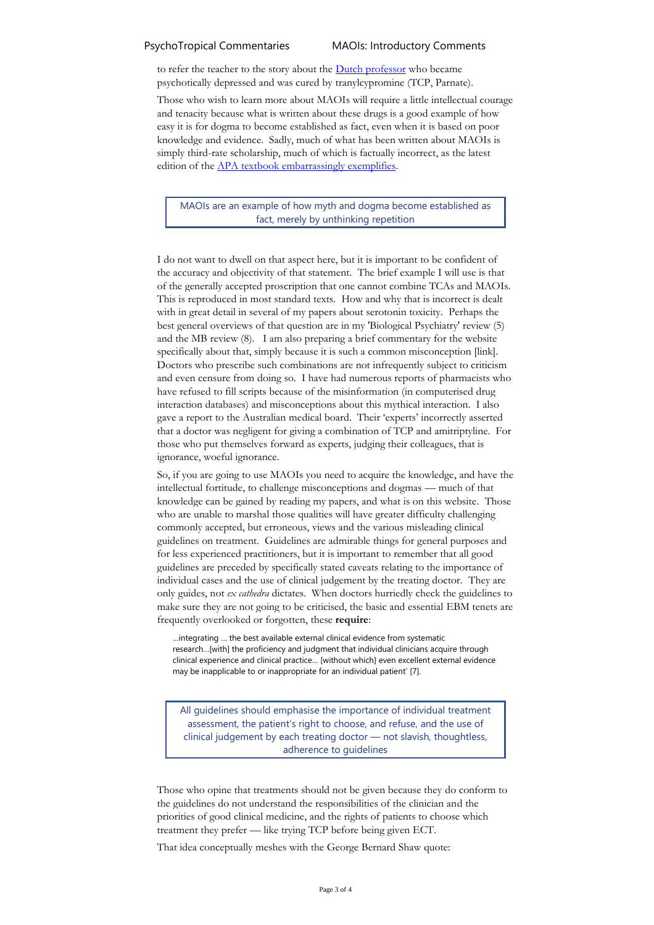### PsychoTropical Commentaries MAOIs: Introductory Comments

to refer the teacher to the story about the **Dutch professor** who became psychotically depressed and was cured by tranylcypromine (TCP, Parnate).

Those who wish to learn more about MAOIs will require a little intellectual courage and tenacity because what is written about these drugs is a good example of how easy it is for dogma to become established as fact, even when it is based on poor knowledge and evidence. Sadly, much of what has been written about MAOIs is simply third-rate scholarship, much of which is factually incorrect, as the latest edition of the [APA textbook embarrassingly exemplifies.](https://psychotropical.com/apa-textbook-update-maois/)

MAOIs are an example of how myth and dogma become established as fact, merely by unthinking repetition

I do not want to dwell on that aspect here, but it is important to be confident of the accuracy and objectivity of that statement. The brief example I will use is that of the generally accepted proscription that one cannot combine TCAs and MAOIs. This is reproduced in most standard texts. How and why that is incorrect is dealt with in great detail in several of my papers about serotonin toxicity. Perhaps the best general overviews of that question are in my 'Biological Psychiatry' review (5) and the MB review (8). I am also preparing a brief commentary for the website specifically about that, simply because it is such a common misconception [link]. Doctors who prescribe such combinations are not infrequently subject to criticism and even censure from doing so. I have had numerous reports of pharmacists who have refused to fill scripts because of the misinformation (in computerised drug interaction databases) and misconceptions about this mythical interaction. I also gave a report to the Australian medical board. Their 'experts' incorrectly asserted that a doctor was negligent for giving a combination of TCP and amitriptyline. For those who put themselves forward as experts, judging their colleagues, that is ignorance, woeful ignorance.

So, if you are going to use MAOIs you need to acquire the knowledge, and have the intellectual fortitude, to challenge misconceptions and dogmas — much of that knowledge can be gained by reading my papers, and what is on this website. Those who are unable to marshal those qualities will have greater difficulty challenging commonly accepted, but erroneous, views and the various misleading clinical guidelines on treatment. Guidelines are admirable things for general purposes and for less experienced practitioners, but it is important to remember that all good guidelines are preceded by specifically stated caveats relating to the importance of individual cases and the use of clinical judgement by the treating doctor. They are only guides, not *ex cathedra* dictates. When doctors hurriedly check the guidelines to make sure they are not going to be criticised, the basic and essential EBM tenets are frequently overlooked or forgotten, these **require**:

…integrating … the best available external clinical evidence from systematic research…[with] the proficiency and judgment that individual clinicians acquire through clinical experience and clinical practice… [without which] even excellent external evidence may be inapplicable to or inappropriate for an individual patient' [7].

All guidelines should emphasise the importance of individual treatment assessment, the patient's right to choose, and refuse, and the use of clinical judgement by each treating doctor — not slavish, thoughtless, adherence to guidelines

Those who opine that treatments should not be given because they do conform to the guidelines do not understand the responsibilities of the clinician and the priorities of good clinical medicine, and the rights of patients to choose which treatment they prefer — like trying TCP before being given ECT.

That idea conceptually meshes with the George Bernard Shaw quote: